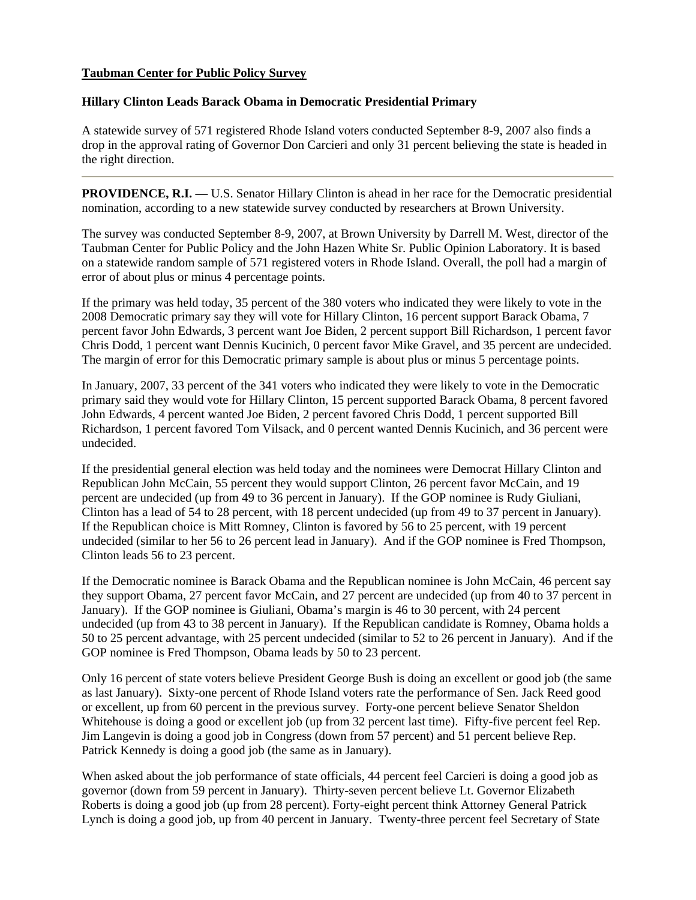## **Taubman Center for Public Policy Survey**

## **Hillary Clinton Leads Barack Obama in Democratic Presidential Primary**

A statewide survey of 571 registered Rhode Island voters conducted September 8-9, 2007 also finds a drop in the approval rating of Governor Don Carcieri and only 31 percent believing the state is headed in the right direction.

**PROVIDENCE, R.I.** — U.S. Senator Hillary Clinton is ahead in her race for the Democratic presidential nomination, according to a new statewide survey conducted by researchers at Brown University.

The survey was conducted September 8-9, 2007, at Brown University by Darrell M. West, director of the Taubman Center for Public Policy and the John Hazen White Sr. Public Opinion Laboratory. It is based on a statewide random sample of 571 registered voters in Rhode Island. Overall, the poll had a margin of error of about plus or minus 4 percentage points.

If the primary was held today, 35 percent of the 380 voters who indicated they were likely to vote in the 2008 Democratic primary say they will vote for Hillary Clinton, 16 percent support Barack Obama, 7 percent favor John Edwards, 3 percent want Joe Biden, 2 percent support Bill Richardson, 1 percent favor Chris Dodd, 1 percent want Dennis Kucinich, 0 percent favor Mike Gravel, and 35 percent are undecided. The margin of error for this Democratic primary sample is about plus or minus 5 percentage points.

In January, 2007, 33 percent of the 341 voters who indicated they were likely to vote in the Democratic primary said they would vote for Hillary Clinton, 15 percent supported Barack Obama, 8 percent favored John Edwards, 4 percent wanted Joe Biden, 2 percent favored Chris Dodd, 1 percent supported Bill Richardson, 1 percent favored Tom Vilsack, and 0 percent wanted Dennis Kucinich, and 36 percent were undecided.

If the presidential general election was held today and the nominees were Democrat Hillary Clinton and Republican John McCain, 55 percent they would support Clinton, 26 percent favor McCain, and 19 percent are undecided (up from 49 to 36 percent in January). If the GOP nominee is Rudy Giuliani, Clinton has a lead of 54 to 28 percent, with 18 percent undecided (up from 49 to 37 percent in January). If the Republican choice is Mitt Romney, Clinton is favored by 56 to 25 percent, with 19 percent undecided (similar to her 56 to 26 percent lead in January). And if the GOP nominee is Fred Thompson, Clinton leads 56 to 23 percent.

If the Democratic nominee is Barack Obama and the Republican nominee is John McCain, 46 percent say they support Obama, 27 percent favor McCain, and 27 percent are undecided (up from 40 to 37 percent in January). If the GOP nominee is Giuliani, Obama's margin is 46 to 30 percent, with 24 percent undecided (up from 43 to 38 percent in January). If the Republican candidate is Romney, Obama holds a 50 to 25 percent advantage, with 25 percent undecided (similar to 52 to 26 percent in January). And if the GOP nominee is Fred Thompson, Obama leads by 50 to 23 percent.

Only 16 percent of state voters believe President George Bush is doing an excellent or good job (the same as last January). Sixty-one percent of Rhode Island voters rate the performance of Sen. Jack Reed good or excellent, up from 60 percent in the previous survey. Forty-one percent believe Senator Sheldon Whitehouse is doing a good or excellent job (up from 32 percent last time). Fifty-five percent feel Rep. Jim Langevin is doing a good job in Congress (down from 57 percent) and 51 percent believe Rep. Patrick Kennedy is doing a good job (the same as in January).

When asked about the job performance of state officials, 44 percent feel Carcieri is doing a good job as governor (down from 59 percent in January). Thirty-seven percent believe Lt. Governor Elizabeth Roberts is doing a good job (up from 28 percent). Forty-eight percent think Attorney General Patrick Lynch is doing a good job, up from 40 percent in January. Twenty-three percent feel Secretary of State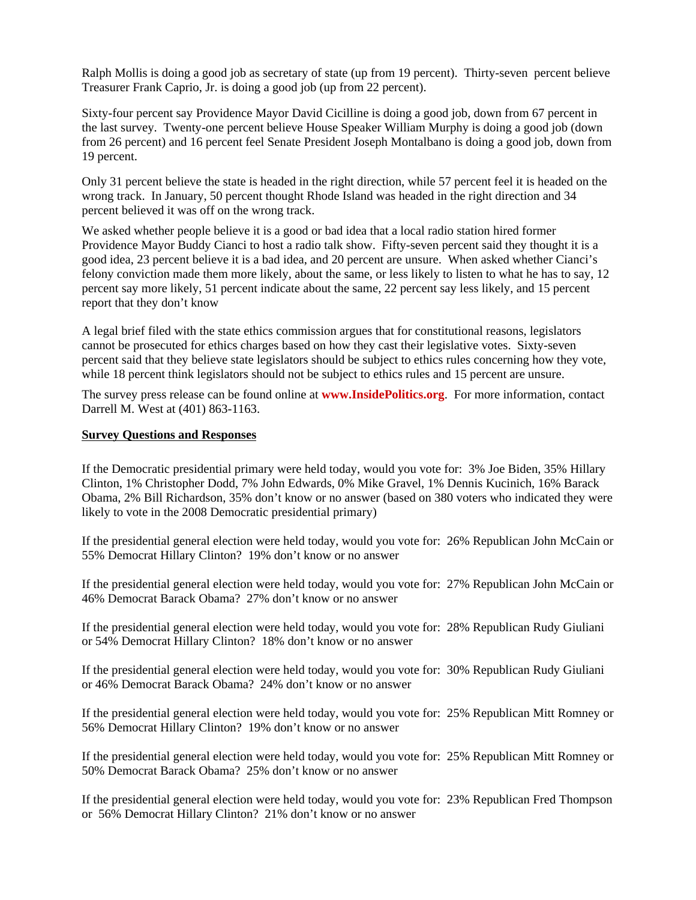Ralph Mollis is doing a good job as secretary of state (up from 19 percent). Thirty-seven percent believe Treasurer Frank Caprio, Jr. is doing a good job (up from 22 percent).

Sixty-four percent say Providence Mayor David Cicilline is doing a good job, down from 67 percent in the last survey. Twenty-one percent believe House Speaker William Murphy is doing a good job (down from 26 percent) and 16 percent feel Senate President Joseph Montalbano is doing a good job, down from 19 percent.

Only 31 percent believe the state is headed in the right direction, while 57 percent feel it is headed on the wrong track. In January, 50 percent thought Rhode Island was headed in the right direction and 34 percent believed it was off on the wrong track.

We asked whether people believe it is a good or bad idea that a local radio station hired former Providence Mayor Buddy Cianci to host a radio talk show. Fifty-seven percent said they thought it is a good idea, 23 percent believe it is a bad idea, and 20 percent are unsure. When asked whether Cianci's felony conviction made them more likely, about the same, or less likely to listen to what he has to say, 12 percent say more likely, 51 percent indicate about the same, 22 percent say less likely, and 15 percent report that they don't know

A legal brief filed with the state ethics commission argues that for constitutional reasons, legislators cannot be prosecuted for ethics charges based on how they cast their legislative votes. Sixty-seven percent said that they believe state legislators should be subject to ethics rules concerning how they vote, while 18 percent think legislators should not be subject to ethics rules and 15 percent are unsure.

The survey press release can be found online at **[www.InsidePolitics.org](http://www.insidepolitics.org/)**. For more information, contact Darrell M. West at (401) 863-1163.

## **Survey Questions and Responses**

If the Democratic presidential primary were held today, would you vote for: 3% Joe Biden, 35% Hillary Clinton, 1% Christopher Dodd, 7% John Edwards, 0% Mike Gravel, 1% Dennis Kucinich, 16% Barack Obama, 2% Bill Richardson, 35% don't know or no answer (based on 380 voters who indicated they were likely to vote in the 2008 Democratic presidential primary)

If the presidential general election were held today, would you vote for: 26% Republican John McCain or 55% Democrat Hillary Clinton? 19% don't know or no answer

If the presidential general election were held today, would you vote for: 27% Republican John McCain or 46% Democrat Barack Obama? 27% don't know or no answer

If the presidential general election were held today, would you vote for: 28% Republican Rudy Giuliani or 54% Democrat Hillary Clinton? 18% don't know or no answer

If the presidential general election were held today, would you vote for: 30% Republican Rudy Giuliani or 46% Democrat Barack Obama? 24% don't know or no answer

If the presidential general election were held today, would you vote for: 25% Republican Mitt Romney or 56% Democrat Hillary Clinton? 19% don't know or no answer

If the presidential general election were held today, would you vote for: 25% Republican Mitt Romney or 50% Democrat Barack Obama? 25% don't know or no answer

If the presidential general election were held today, would you vote for: 23% Republican Fred Thompson or 56% Democrat Hillary Clinton? 21% don't know or no answer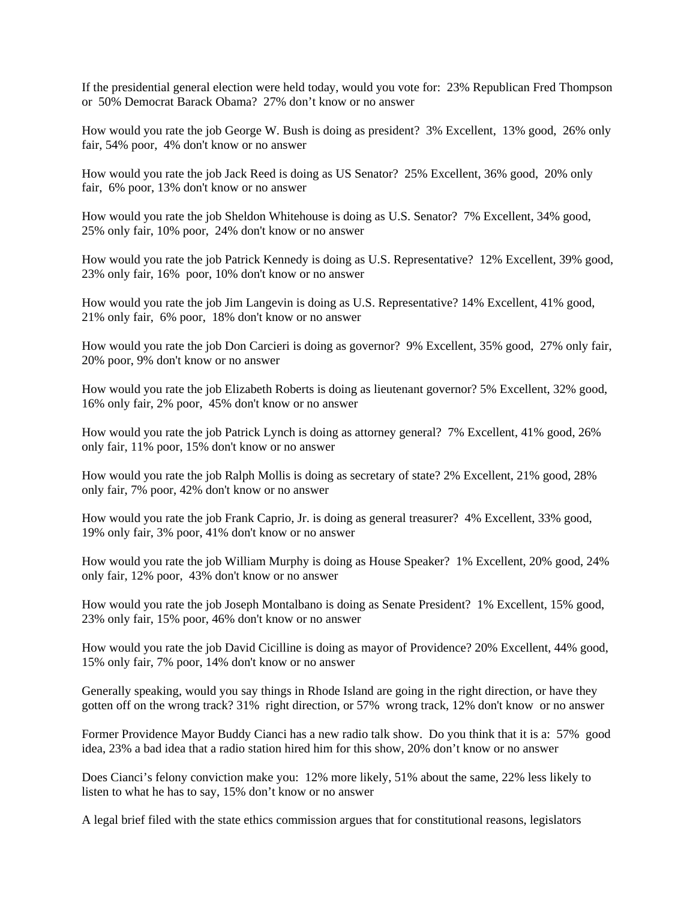If the presidential general election were held today, would you vote for: 23% Republican Fred Thompson or 50% Democrat Barack Obama? 27% don't know or no answer

How would you rate the job George W. Bush is doing as president? 3% Excellent, 13% good, 26% only fair, 54% poor, 4% don't know or no answer

How would you rate the job Jack Reed is doing as US Senator? 25% Excellent, 36% good, 20% only fair, 6% poor, 13% don't know or no answer

How would you rate the job Sheldon Whitehouse is doing as U.S. Senator? 7% Excellent, 34% good, 25% only fair, 10% poor, 24% don't know or no answer

How would you rate the job Patrick Kennedy is doing as U.S. Representative? 12% Excellent, 39% good, 23% only fair, 16% poor, 10% don't know or no answer

How would you rate the job Jim Langevin is doing as U.S. Representative? 14% Excellent, 41% good, 21% only fair, 6% poor, 18% don't know or no answer

How would you rate the job Don Carcieri is doing as governor? 9% Excellent, 35% good, 27% only fair, 20% poor, 9% don't know or no answer

How would you rate the job Elizabeth Roberts is doing as lieutenant governor? 5% Excellent, 32% good, 16% only fair, 2% poor, 45% don't know or no answer

How would you rate the job Patrick Lynch is doing as attorney general? 7% Excellent, 41% good, 26% only fair, 11% poor, 15% don't know or no answer

How would you rate the job Ralph Mollis is doing as secretary of state? 2% Excellent, 21% good, 28% only fair, 7% poor, 42% don't know or no answer

How would you rate the job Frank Caprio, Jr. is doing as general treasurer? 4% Excellent, 33% good, 19% only fair, 3% poor, 41% don't know or no answer

How would you rate the job William Murphy is doing as House Speaker? 1% Excellent, 20% good, 24% only fair, 12% poor, 43% don't know or no answer

How would you rate the job Joseph Montalbano is doing as Senate President? 1% Excellent, 15% good, 23% only fair, 15% poor, 46% don't know or no answer

How would you rate the job David Cicilline is doing as mayor of Providence? 20% Excellent, 44% good, 15% only fair, 7% poor, 14% don't know or no answer

Generally speaking, would you say things in Rhode Island are going in the right direction, or have they gotten off on the wrong track? 31% right direction, or 57% wrong track, 12% don't know or no answer

Former Providence Mayor Buddy Cianci has a new radio talk show. Do you think that it is a: 57% good idea, 23% a bad idea that a radio station hired him for this show, 20% don't know or no answer

Does Cianci's felony conviction make you: 12% more likely, 51% about the same, 22% less likely to listen to what he has to say, 15% don't know or no answer

A legal brief filed with the state ethics commission argues that for constitutional reasons, legislators